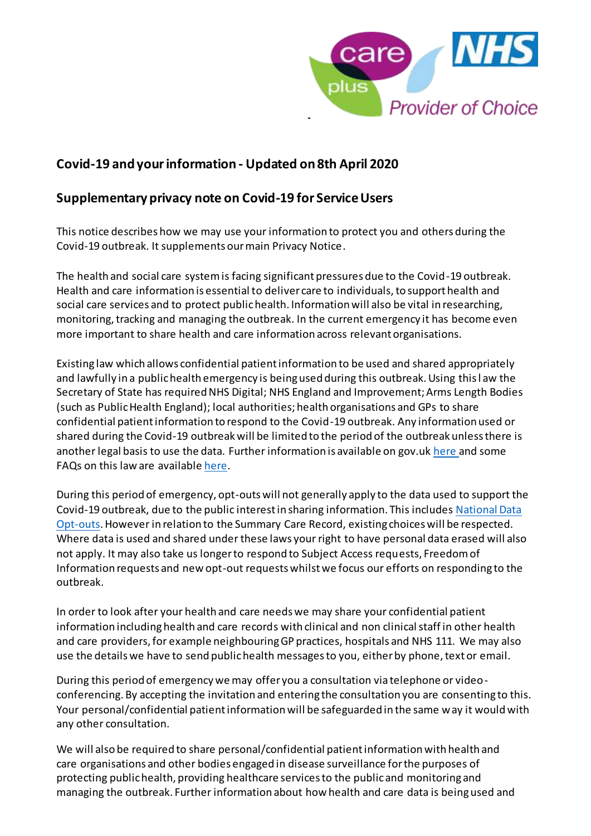

## **Covid-19 and your information - Updated on 8th April 2020**

## **Supplementary privacy note on Covid-19 for ServiceUsers**

This notice describes how we may use your information to protect you and others during the Covid-19 outbreak. It supplements our main Privacy Notice.

The health and social care system is facing significant pressures due to the Covid-19 outbreak. Health and care information is essential to deliver care to individuals, to support health and social care services and to protect public health. Information will also be vital in researching, monitoring, tracking and managing the outbreak. In the current emergency it has become even more important to share health and care information across relevant organisations.

Existing law which allows confidential patient information to be used and shared appropriately and lawfully in a public health emergency is being used during this outbreak. Using this l aw the Secretary of State has required NHS Digital; NHS England and Improvement; Arms Length Bodies (such as Public Health England); local authorities; health organisations and GPs to share confidential patient information to respond to the Covid-19 outbreak. Any information used or shared during the Covid-19 outbreak will be limited to the period of the outbreak unless there is another legal basis to use the data. Further information is available on gov.uk [here](https://www.gov.uk/government/publications/coronavirus-covid-19-notification-of-data-controllers-to-share-information) and some FAQs on this law are availabl[e here](https://www.nhsx.nhs.uk/key-information-and-tools/information-governance-guidance/ig-professionals).

During this period of emergency, opt-outs will not generally apply to the data used to support the Covid-19 outbreak, due to the public interest in sharing information. This include[s National Data](https://www.nhs.uk/your-nhs-data-matters/)  [Opt-outs.](https://www.nhs.uk/your-nhs-data-matters/) However in relation to the Summary Care Record, existing choices will be respected. Where data is used and shared under these laws your right to have personal data erased will also not apply. It may also take us longer to respond to Subject Access requests, Freedom of Information requests and new opt-out requests whilst we focus our efforts on responding to the outbreak.

In order to look after your health and care needs we may share your confidential patient information including health and care records with clinical and non clinical staff in other health and care providers, for example neighbouring GP practices, hospitals and NHS 111. We may also use the details we have to send public health messages to you, either by phone, text or email.

During this period of emergency we may offer you a consultation via telephone or videoconferencing. By accepting the invitation and entering the consultation you are consenting to this. Your personal/confidential patient information will be safeguarded in the same way it would with any other consultation.

We will also be required to share personal/confidential patient information with health and care organisations and other bodies engaged in disease surveillance for the purposes of protecting public health, providing healthcare services to the public and monitoring and managing the outbreak. Further information about how health and care data is being used and